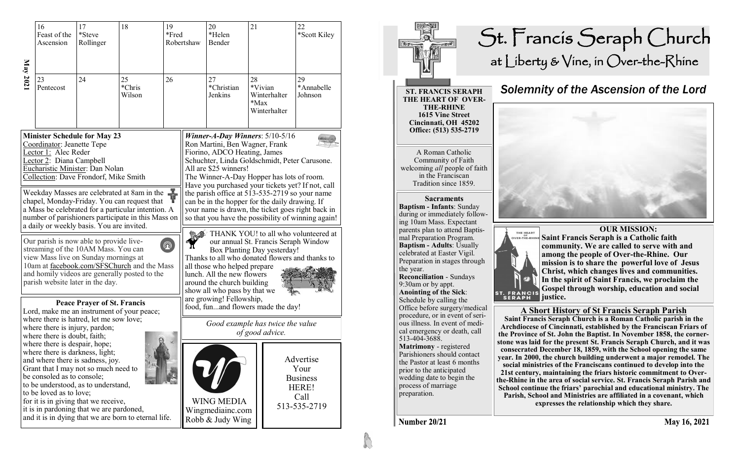|                                                                                                                                                                                                                                                                                                                                                                                                                                                                                                                                                                                                                                                                                                                                          | 16<br>Feast of the<br>Ascension                                                                                                                                                                                                                                                                                                                                                          | 17<br>*Steve<br>Rollinger | 18                     | 19<br>*Fred | 20<br>*Helen<br>Robertshaw<br>Bender                                                                                                                                                                                                                                                                                                                                                                                                                                                                                                                                                                                                                                                                                                                         |                                                           | 21            |                                         | 22<br>*Scott Kiley                                                    |                                                                                                                                                                                               |
|------------------------------------------------------------------------------------------------------------------------------------------------------------------------------------------------------------------------------------------------------------------------------------------------------------------------------------------------------------------------------------------------------------------------------------------------------------------------------------------------------------------------------------------------------------------------------------------------------------------------------------------------------------------------------------------------------------------------------------------|------------------------------------------------------------------------------------------------------------------------------------------------------------------------------------------------------------------------------------------------------------------------------------------------------------------------------------------------------------------------------------------|---------------------------|------------------------|-------------|--------------------------------------------------------------------------------------------------------------------------------------------------------------------------------------------------------------------------------------------------------------------------------------------------------------------------------------------------------------------------------------------------------------------------------------------------------------------------------------------------------------------------------------------------------------------------------------------------------------------------------------------------------------------------------------------------------------------------------------------------------------|-----------------------------------------------------------|---------------|-----------------------------------------|-----------------------------------------------------------------------|-----------------------------------------------------------------------------------------------------------------------------------------------------------------------------------------------|
| May 2021                                                                                                                                                                                                                                                                                                                                                                                                                                                                                                                                                                                                                                                                                                                                 | 23<br>Pentecost                                                                                                                                                                                                                                                                                                                                                                          | 24                        | 25<br>*Chris<br>Wilson | 26          |                                                                                                                                                                                                                                                                                                                                                                                                                                                                                                                                                                                                                                                                                                                                                              | 27<br>*Christian<br>Jenkins                               | 28<br>$*$ Max | *Vivian<br>Winterhalter<br>Winterhalter | 29<br>*Annabelle<br>Johnson                                           |                                                                                                                                                                                               |
| <b>Minister Schedule for May 23</b><br>Coordinator: Jeanette Tepe<br>Lector 1: Alec Reder<br>Lector 2: Diana Campbell<br>Eucharistic Minister: Dan Nolan<br>Collection: Dave Frondorf, Mike Smith<br>Weekday Masses are celebrated at 8am in the<br>chapel, Monday-Friday. You can request that<br>a Mass be celebrated for a particular intention. A<br>number of parishioners participate in this Mass on<br>a daily or weekly basis. You are invited.<br>Our parish is now able to provide live-<br>$\circledcirc$<br>streaming of the 10AM Mass. You can<br>view Mass live on Sunday mornings at<br>10am at facebook.com/SFSChurch and the Mass<br>and homily videos are generally posted to the<br>parish website later in the day. |                                                                                                                                                                                                                                                                                                                                                                                          |                           |                        |             | Winner-A-Day Winners: $5/10-5/16$<br>Ron Martini, Ben Wagner, Frank<br>Fiorino, ADCO Heating, James<br>Schuchter, Linda Goldschmidt, Peter Carusone.<br>All are \$25 winners!<br>The Winner-A-Day Hopper has lots of room.<br>Have you purchased your tickets yet? If not, call<br>the parish office at 513-535-2719 so your name<br>can be in the hopper for the daily drawing. If<br>your name is drawn, the ticket goes right back in<br>so that you have the possibility of winning again!<br>THANK YOU! to all who volunteered at<br>our annual St. Francis Seraph Window<br>Box Planting Day yesterday!<br>Thanks to all who donated flowers and thanks to<br>all those who helped prepare<br>lunch. All the new flowers<br>around the church building |                                                           |               |                                         |                                                                       |                                                                                                                                                                                               |
|                                                                                                                                                                                                                                                                                                                                                                                                                                                                                                                                                                                                                                                                                                                                          |                                                                                                                                                                                                                                                                                                                                                                                          |                           |                        |             |                                                                                                                                                                                                                                                                                                                                                                                                                                                                                                                                                                                                                                                                                                                                                              |                                                           |               |                                         |                                                                       | <b>Peace Prayer of St. Francis</b><br>Lord, make me an instrument of your peace;<br>where there is hatred, let me sow love;<br>where there is injury, pardon;<br>where there is doubt, faith; |
|                                                                                                                                                                                                                                                                                                                                                                                                                                                                                                                                                                                                                                                                                                                                          | where there is despair, hope;<br>where there is darkness, light;<br>and where there is sadness, joy.<br>Grant that I may not so much need to<br>be consoled as to console;<br>to be understood, as to understand,<br>to be loved as to love;<br>for it is in giving that we receive,<br>it is in pardoning that we are pardoned,<br>and it is in dying that we are born to eternal life. |                           |                        |             |                                                                                                                                                                                                                                                                                                                                                                                                                                                                                                                                                                                                                                                                                                                                                              | <b>WING MEDIA</b><br>Wingmediainc.com<br>Robb & Judy Wing |               |                                         | Advertise<br>Your<br><b>Business</b><br>HERE!<br>Call<br>513-535-2719 |                                                                                                                                                                                               |